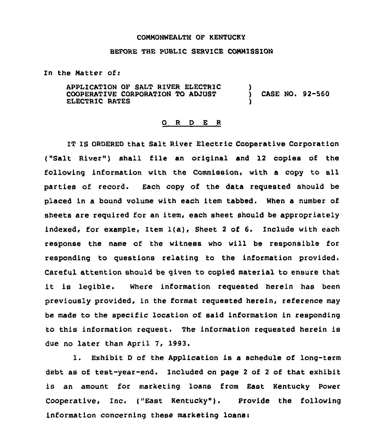## CONMONWEALTH OF KENTUCKY

## BEFORE THE PUBLIC SERVICE COMMISSION

In the Natter ofi

APPLICATION OF SALT RIVER ELECTRIC COOPERATIVE CORPORATION TO ADJUST ELECTRIC RATES ) ) CASE NO. 92-560 )

## 0 <sup>R</sup> <sup>D</sup> E <sup>R</sup>

IT IS ORDERED that Salt River Electric Cooperative Corporation ("Salt River") shall file an original and 12 copies of the following information with the Commission, with a copy to all parties of record. Each copy of the data requested should be placed in a bound volume with each item tabbed. When a number of sheets are required for an item, each sheet should be appropriately indexed, for example, Item l(a), Sheet <sup>2</sup> of 6. Include with each response the name of the witness who will be responsible for responding to questions relating to the information provided. Careful attention should be given to copied material to ensure that it is legible. Where information requested herein has been previously provided, in the format requested herein, reference may be made to the specific location of said information in responding to this information request. The information requested herein is due no later than April 7, 1993.

1. Exhibit <sup>D</sup> of the Application is <sup>a</sup> schedule of long-term debt as of test-year-end. Included on page <sup>2</sup> of <sup>2</sup> of that exhibit is an amount for marketing loans from East Kentucky Power Cooperative, Inc. ("East Kentucky"). Provide the following information concerning these marketing loans: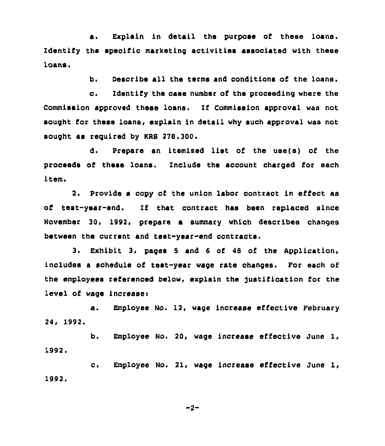a. Explain in detail the purpose of these loans. Identify the specific marketing activities associated with these loans.

b. Describe all the terms and conditions of the loans.

c. Identify the case number of the proceeding where the Commission approved these loans, If Commission approval was not sought for these loans, explain in detail why such approval was not sought as required by KRS 278.300.

d, Prepare an itemised list of the use(s) of the proceeds of these loans. Include the account charged for each item.

2. Provide a copy of the union labor contract in effect as of test-year-end. If that contract has been replaced since November 30, 1992, prepare a summary which describes changes between the current and test-year-end contracts.

3. Exhibit 3, pages <sup>5</sup> and <sup>6</sup> of 48 of the Application, includes a schedule of test-year wage rata changes. For each of the employees referenced below, explain the justification for the level of wage increase:

a. Employee No. 12, wage increase effective February 24, 1992.

b. Employee No. 20, wage increase effective June 1, 1992.

c. Employee No. 21, wage increase effective June 1, 1992.

 $-2-$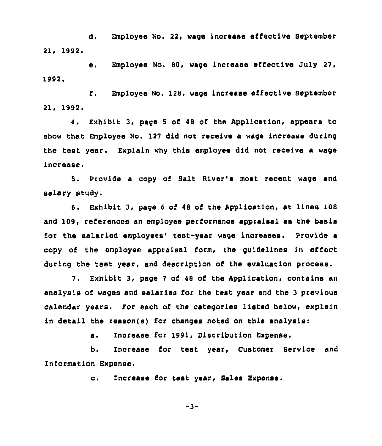d. Employee No. 22, wage increase effective September 21, 1992.

e. Employee No. 80, wage increase effective July 27, 1992,

f. Employee No. 128, wage inorease effective Beptember 21, 1992.

Exhibit 3, page 5 of 48 of the Application, appears to 4. show that Employee No. 127 did not receive a wage increase during the test year. Explain why this employee did not receive a wage increase.

5. Provide a copy of Balt River's most recent wage and salary study.

6. Exhibit 3, page <sup>6</sup> of <sup>48</sup> of the Application, at lines 108 and 109, references an employee performance appraisal as the basis for the salaried employees' test-year wage increases. Provide a copy of the employee appraisal form, the guidelines in effect during the test year, and description of the evaluation process.

7. Exhibit 3, page 7 of 48 of the Application, contains an analysis of wages and salaries for the test year and the <sup>3</sup> previous calendar years. For each of the categories listed below, explain in detail the reason(s) for changes noted on this analysisi

a. Increase for 1991, Distribution Expense.

b. Increase for test year, Customer Service and Information Expense.

c. Increase for test year, Sales Expense.

 $-3-$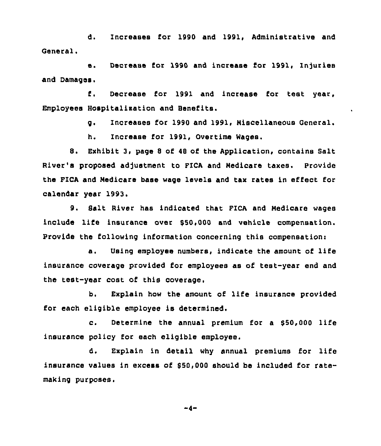d. Increases for 1990 and 1991, Administrative and General.

e. Decrease for 1990 and increase for 1991, Injuries and Damages.

f. Decrease for 1991 and increase for test year, Employees Hospitalisation and Benefits.

g. Increases for 1990 and 1991, Niscellaneous General.

 $\bullet$ 

h, Increase for 1991, Overtime Wages.

8. Exhibit 3, page <sup>8</sup> of <sup>48</sup> of the Application, contains Salt River's proposed adjustment to FICA and Nedicare taxes. Provide the PICA and Nedicare base wage levels and tax rates in effect for calendar year 1993.

9. Salt River has indicated that FICA and Nedicare wages include life insurance over 950,000 and vehicle compensation. Provide the following information concerning this compensation:

a. Using employee numbers, indicate the amount of life insurance coverage provided for employees as of test-year end and the test-year cost of this coverage.

b. Explain how the amount of life insurance provided for each eligible employee is determined.

c. Determine the annual premium for <sup>a</sup> \$50,000 life insurance policy for each eligible employee.

d. Explain in detail why annual premiums for life insurance values in excess of  $$50,000$  should be included for ratemaking purposes.

 $-4-$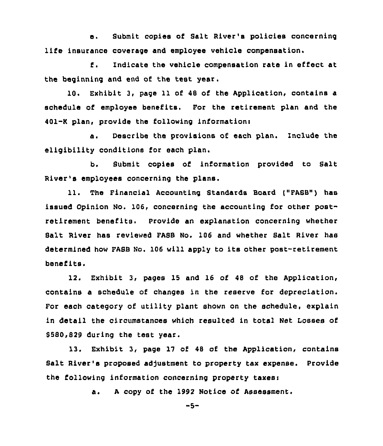e. Submit copies of Salt River's policies concerning life insurance coverage and employee vehicle compensation.

f. Indicate the vehicle compensation rate in effect at the beginning and end of the test year.

10. Exhibit 3, page 11 of 48 of the Application, contains a schedule of employee benefits. For the retirement plan and the 401-K plan, provide the following information:

a. Describe the provisions of each plan. Include the eligibility conditions for each plan.

b. Bubmit copies of information provided to Salt River's employees concerning the plans.

11. The Financial Accounting Standards Board ["FASB") has issued Opinion No. 106, concerning the accounting for other postretirement benefits. Provide an explanation concerning whether Salt River has reviewed FABB No. 106 and whether Balt River has determined how FASB No. 106 will apply to its other post-retirement benefits.

12. Exhibit 3, pages 15 and 16 of 48 of the Application, contains a schedule of changes in the reserve for depreciation. For each category of utility plant shown on the schedule, explain in detail the circumstances which resulted in total Net Losses of 8580,829 during the test year.

13. Exhibit 3, page 17 of 48 of the Application, contains Salt River's proposed adjustment to property tax expense. Provide the following information concerning property taxes:

a. <sup>A</sup> copy of the 1992 Notice of Assessment.

 $-5-$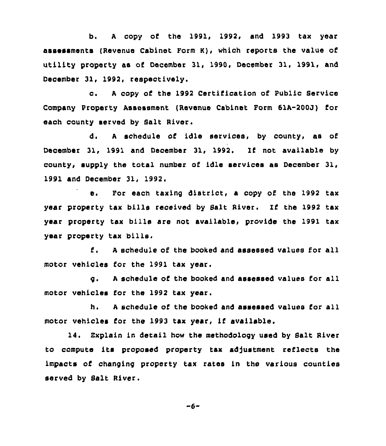b. <sup>A</sup> copy of the 1991, 1992, and 1993 tax year assessments (Revenue Cabinet Form K), which reports the value property as of December 31, 1990, December 31, 1991, and December 31, 1992, respectively.

c. A copy of the 1992 Certification of Public Service Company Property Assessment (Revenue Cabinet Form 61A-200J) for each county served by Salt River.

d. <sup>A</sup> schedule of idle services, by county, as of December 31, 1991 and December 31, 1992. If not available by county, supply the total number of idle services as December 31, 1991 and December 31, 1992,

e. For each taxing district, a copy of the 1992 tax year property tax bills received by Salt River. If the 1992 tax year property tax bills are not available, provide the 1991 tax year property tax bills.

 $E_{\rm{z}}$ <sup>A</sup> schedule of the booked and assessed values for all motor vehicles for the 1991 tax year.

q. A schedule of the booked and assessed values for all motor vehicles for the 1992 tax year.

h. <sup>A</sup> schedule of the booked and assessed values for all motor vehicles for the 1993 tax year, if available.

14. Explain in detail how the methodology used by Salt River to compute its proposed property tax adjustment reflects the impacts of changing property tax rates in the various counties served by Salt River.

$$
-6-
$$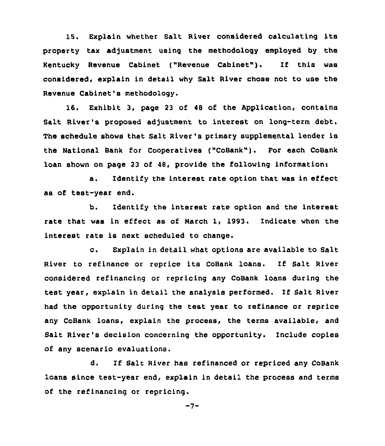15. Explain whether Salt River considered calculating its property tax adjustment using the methodology employed by the Kentucky Revenue Cabinet ("Revenue Cabinet" ). If this was considered, explain in detail why Salt River chose not to use the Revenue Cabinet's methodology.

16. Exhibit 3, page 23 of 48 of the Application, contains Salt River's proposed adjustment to interest on long-term debt. The schedule shows that Salt River's primary supplemental lender is the National Bank for Cooperatives ("CoBank"). For each CoBank loan shown on page 23 of 48, provide the following informationi

a. Identify the interest rate option that was in effect as of test-year end.

b. Identify the interest rate option and the interest rate that was in effect as of March 1, 1993. Indicate when the interest rate is next scheduled to change.

c. Explain in detail what options are available to Salt River to refinance or reprice its CoBank loans. If Salt River considered refinancing or repricing any CoBank loans during the test year, explain in detail the analysis performed. If Salt River had the opportunity during the test year to refinance or reprice any CoBank loans, explain the process, the terms available, and Balt River's decision concerning the opportunity. Include copies of any scenario evaluations.

d. If Salt River has refinanced or repriced any CoBank loans since test-year end, explain in detail the process and terms of the refinancing or repricing.

 $-7-$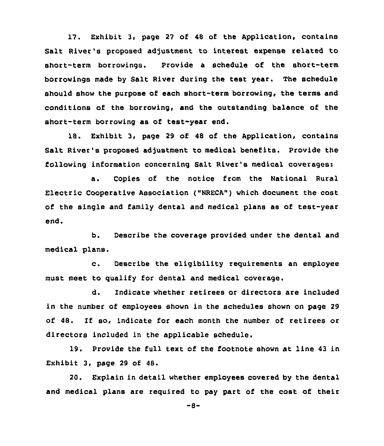17. Exhibit 3, page 27 of 48 of the Application, contains Salt River's proposed adjustment to interest expense related to short-term borrowings. Provide a schedule of the short-term borrowings made by Salt River during the test year. The schedule should show the purpose of each short-term borrowing, the terms and conditions of the borrowing, and the outstanding balance of the short-term borrowing as of test-year end.

18. Exhibit 3, page 29 of 48 of the Application, contains Salt River's proposed adjustment to medical benefits. Provide the following information concerning Salt River's medical coverages:

a. Copies of the notice from the National Rural Electric Cooperative Association {"NRECA") which document the cost of the single and family dental and medical plans as of test-year end,

b. Describe the coverage provided under the dental and medical plans.

c. Describe the eligibility requirements an employee must meet to qualify for dental and medical coverage.

d. Indicate whether retirees or directors are included in the number of employees shown in the schedules shown on page 29 of 48. If so, indicate for each month the number of retirees or directors included in the applicable schedule.

19. Provide the full text of the footnote shown at line 43 in Exhibit 3, page 29 of 48.

20. Explain in detail whether employees covered by the dental and medical plans are required to pay part of the cost of their

 $-8-$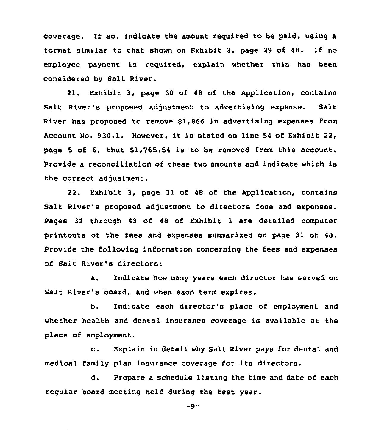coverage. If so, indicate the amount reguired to be paid, using a format similar to that shown on Exhibit 3, page <sup>29</sup> of 48. If no employee payment is reguired, explain whether this has been considered by Salt River.

21. Exhibit 3, page 30 of 48 of the Application, contains Salt River's proposed adjustment to advertising expense. Salt River has proposed to remove \$1,866 in advertising expenses from Account No. 930.1. However, it is stated on line <sup>54</sup> of Exhibit 22, page <sup>5</sup> of 6, that \$1,765.54 is to be removed from this account. Provide a reconciliation of these two amounts and indicate which is the correct adjustment.

22. Exhibit 3, page 31 of 48 of the Application, contains Salt River's proposed adjustment to directors fees and expenses. Pages 32 through 43 of 48 of Exhibit <sup>3</sup> are detailed computer printouts of the fees and expenses summarixed on page 31 of 48. Provide the following information concerning the fees and expenses of Salt River's directors:

a. Indicate how many years each director has served on Salt River's board, and when each term expires.

b. Indicate each director's place of employment and whether health and dental insurance coverage is available at the place of employment.

c. Explain in detail why Salt River pays for dental and medical family plan insurance coverage for its directors.

d. Prepare a schedule listing the time and date of each regular board meeting held during the test year.

 $-9-$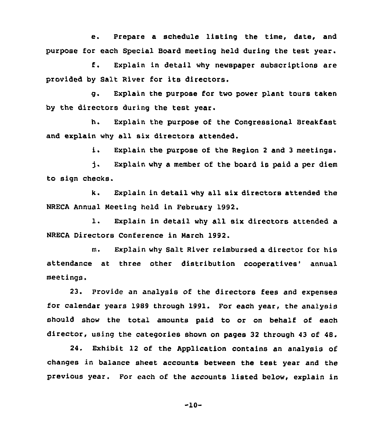e. Prepare <sup>a</sup> schedule listing the time, date, and purpose for each Special Board meeting held during the test year.

f. Explain in detail why newspaper subscriptions are provided by Salt River for its directors.

g. Explain the purpose for two power plant tours taken by the directors during the test year.

h. Explain the purpose of the Congressional Breakfast and explain why all six directors attended.

i. Explain the purpose of the Region <sup>2</sup> and <sup>3</sup> meetings.

i. Explain why a member of the board is paid a per diem to sign checks.

k. Explain in detail why all six directors attended the NRECA Annual Meeting held in February 1992.

l. Explain in detail why all six directors attended <sup>a</sup> NRECA Directors Conference in March 1992.

m. Explain why Salt River reimbursed a director for his attendance at three other distribution cooperatives' annual meetings.

23. provide an analysis of the directors fees and expenses for calendar years 1989 through 1991. For each year, the analysis should show the total amounts paid to or on behalf of each director, using the categories shown on pages 32 through 43 of 48.

24. Exhibit 12 of the Application contains an analysis of changes in balance sheet accounts between the test year and the previous year. Por each of the accounts listed below, explain in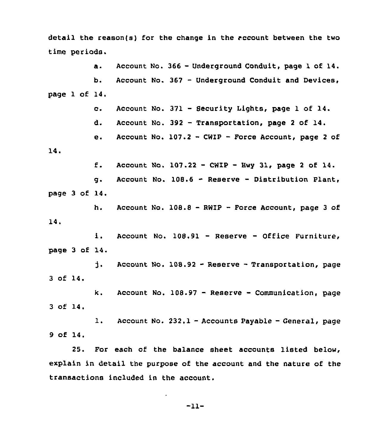detail the reason(s) for the change in the account between the two time periods.

a. Account No. 366 - Underground Conduit, page 1 of 14. Account No. 367 — Underground Conduit and Devices, b. page 1 of 14. c. Account No. 371 - Security Lights, page 1 of 14. d. Account No. 392 - Transportation, page 2 of 14. Account No.  $107.2 - CWIP - Force Account, page 2 of$  $e.$ 14. f. Account No.  $107.22 - CWIP - Hwy 31$ , page 2 of 14. g. Account No. 108.6 - Reserve — Distribution Plant, page 3 of 14. h. Account No. 108.8 —RWIP —Force Account, page <sup>3</sup> of 14. i. Account No. 108.91 — Reserve — Office Furniture, page 3 of 14. **i.** Account No.  $108.92$  - Reserve - Transportation, page 3 of 14. k. Account No. 108.97 — Reserve —Communication, page 3 of 14. l. Account No. 232.1 —Accounts Payable —General, page 9 of 14.

25. For each of the balance sheet accounts listed below, explain in detail the purpose of the account and the nature of the transactions included in the account.

-11-

 $\bullet$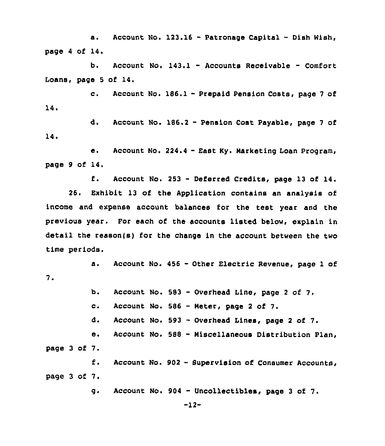a. Account No. 123.16 - Patronage Capital - Dish Wish, page <sup>4</sup> of 14.

b. Account No. 143.1 - Accounts Receivable — Comfort Loans, page <sup>5</sup> of 14.

c. Account No. 186.1 - Prepaid Pension Costs, page <sup>7</sup> of 14

d. Account No. 186.2 —Pension Cost Payable, page <sup>7</sup> of 14.

e. Account No. 224.4 - East Ky. Marketing Loan Program, page 9 of 14.

f. Account No. <sup>253</sup> - Deferred Credits, page <sup>13</sup> of 14.

26. Exhibit 13 of the Application contains an analysis of income and expense account balances for the test year and the previous year. For each of the accounts listed below, explain in detail the reason(s} for the change in the account between the two time periods.

a. Account No. <sup>456</sup> - Other Electric Revenue, page <sup>1</sup> of  $7.$ 

> ь. Account No. 583 —Overhead Line, page <sup>2</sup> of 7.

 $c_{\lambda}$ Account No. <sup>586</sup> - Meter, page <sup>2</sup> of 7.

d. Account No. 593 —Overhead Lines, page <sup>2</sup> of 7.

Account No. <sup>588</sup> - Miscellaneous Distribution Plan,  $\mathbf{e}$ . page <sup>3</sup> of 7.

f. Account No. 902 - Supervision of Consumer Accounts, page 3 of 7.

> Account No. 984 — Uncollectibles, page <sup>3</sup> of 7. g.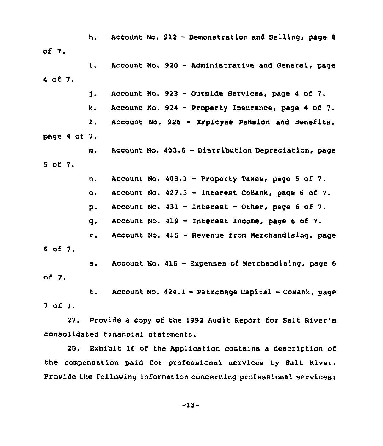of 7. h. Account No. 912 - Demonstration and Selling, page 4

<sup>4</sup> of 7. i. Account No. <sup>920</sup> — Administrative and General, page

> d. Account No. 923 — Outside Services, page <sup>4</sup> of 7.

 $k.$  Account No. 924 - Property Insurance, page 4 of 7.

l. Account No. <sup>926</sup> — Employee Pension and Benefits,

page <sup>4</sup> of 7.

m. Account No. 403.6 - Distribution Depreciation, page 5 of 7.

n. Account No. 408.1 - Property Taxes, page <sup>5</sup> of 7.

o. Account No. 427.3 - Interest CoBank, page <sup>6</sup> of 7.

p. Account No. 431 — Interest — Other, page <sup>6</sup> of 7.

q. Account No. 419 — Interest Income, page <sup>6</sup> of 7.

r. Account No. <sup>415</sup> — Revenue from merchandising, page <sup>6</sup> of 7.

s. Account No. <sup>416</sup> - Expenses of Nerchandising, page <sup>6</sup> of 7.

t. Account No. 424.1 —Patronage Capital —Cosank, page 7 of 7.

27. Provide a copy of the 1992 Audit Report for Salt River's consolidated financial statements.

28. Exhibit 16 of the Application contains a description of the compensation paid for professional services by Salt River. Provide the following information concerning professional services: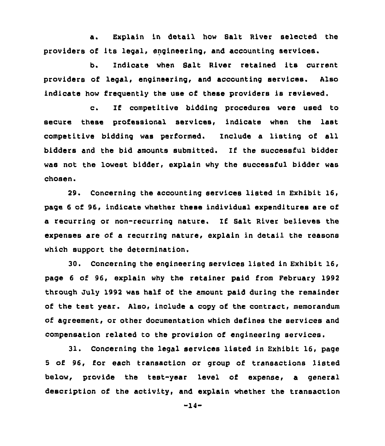a. Explain in detail, how Salt River selected the providers of its legal, engineering, and accounting services.

b. Indicate when Salt River retained its current providers of legal, engineering, and accounting services. Also indicate how frequently the use of these providers is reviewed.

c. If competitive bidding procedures were used to secure these professional services, indicate when the last competitive bidding was performed. Include a listing of all bidders and the bid amounts submitted. If the successful bidder was not the lowest bidder, explain why the successful bidder was chosen.

29. Concerning the accounting services listed in Exhibit 16, page 6 of 96, indicate whether these individual expenditures are of a recurring or non-recurring nature. If Salt River believes the expenses are of a recurring nature, explain in detail the reasons which support the determination.

30. Concerning the engineering services listed in Exhibit 16, page 6 of 96, explain why the retainer paid from February 1992 through July 1992 was half of the amount paid during the remainder of the test year. Also, include a copy of the contract, memorandum of agreement, or other documentation which defines the services and compensation related to the provision of engineering services.

31. Concerning the legal services listed in Exhibit 16, page <sup>5</sup> of 96, for each transaction or group of transactions listed below, provide the test-year level cf expense, a general description of the activity, and explain whether the transaction

-14-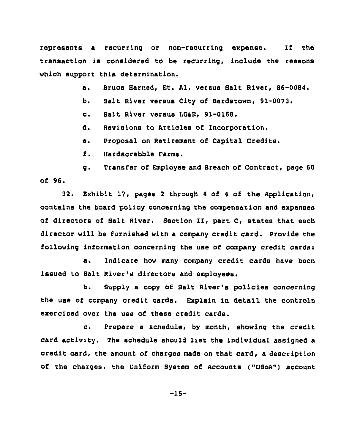represents a recurring or non-recurring expense. If the transaction is considered to be recurring, include the reasons which support this determination.

> Bruce Harned, Et. Al. versus Salt River, 86-0084. a.

be Salt River versus City of Bardstown, 91-0073.

Salt River versus LGAE, 91-0168.  $\mathbf{c}$ .

d. Revisions to Articles of Incorporation.

Proposal on Retirement of Capital Credits. ē.

 $f$ . Hardscrabble Farms.

g, Transfer of Employee and Breach of Contract, page 60  $of 96.$ 

32. Exhibit 17, pages <sup>2</sup> through <sup>4</sup> of <sup>4</sup> of the Application, contains the board policy concerning the compensation and expenses of directors of Salt River. Section II, part C, states that each director will be furnished with a company credit card. Provide the following information concerning the use of company credit cards:

a. Indicate how many company credit cards have been issued to Salt River's directors and employees,

b. Supply a copy of Salt River's policies concerning the use of company credit cards. Explain in detail the controls exercised over the use of these credit cards.

c. Prepare <sup>a</sup> schedule, by month, showing the credit card activity. The schedule should list the individual assigned <sup>a</sup> credit card, the amount of charges made on that card, <sup>a</sup> description of the charges, the Uniform System of Accounts ("USoA") account

-15-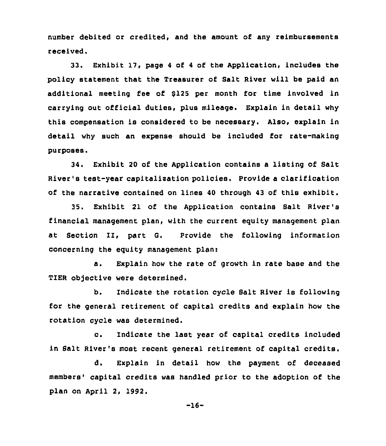number debited or credited, and the amount of any reimbursements received.

33. Exhibit 17, page <sup>4</sup> of <sup>4</sup> of the Application, includes the policy statement that the Treasurer of Salt River will be paid an additional meeting fee of \$125 per month for time involved in carrying out official duties, plus mileage. Explain in detail why this compensation is considered to be necessary. Also, explain in detail why such an expense should be included for rate-making purposes.

34, Exhibit 20 of the Application contains a listing of Salt River's test-year capitalisation policies. Provide a clarification of the narrative contained on lines 40 through 43 of this exhibit.

35. Exhibit 21 of the Application contains Salt River's financial management plan, with the current equity management plan at Section II, part G. Provide the following information concerning the equity management plan:

a. Explain how the rate of growth in rate base and the TIER objective were determined.

b. Indicate the rotation cycle Salt River is following for the general retirement of capital credits and explain how the rotation cycle was determined.

c. Indicate the last year of capital credits included in Salt River's most recent general retirement of capital credits.

d. Explain in detail how the payment of deceased members' capital credits was handled prior to the adoption of the plan on April 2, 1992.

-16-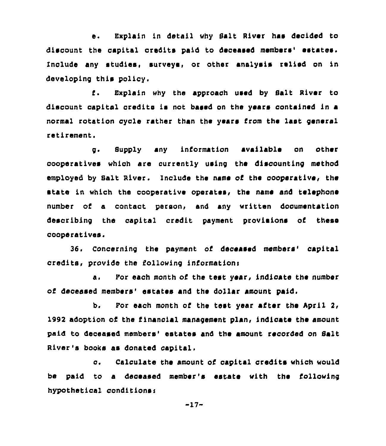e. Explain in detail why Salt River has decided to discount the capital oredits paid to deceased members' estates. Include any studies, surveys, or other analysis relied on in developing this policy.

f. Explain why the approach used by Balt Aiver to discount capital credits is not based on the years contained in a normal rotation cycle rather than the years from the last general retirement.

g. Supply any information available on other cooperatives which are currently using the discounting method employed by Salt River. Include the name of the cooperative, the state in which the cooperative operates, the name and telephone number of a contact person, and any written documentation describing the capital credit payment provisions of Chess cooperar,ives.

36. Concerning the payment of deceased members' capital credits, provide the following information'.

Por each month of the test year, indicate the number Δ. of deceased members' estates and the dollar amount paid.

b. Por each month of the test year after the April 2, 1992 adoption of the financial management plan, indicate the amount paid to deceased members' estates and the amount recorded on Salt River's books as donated capital.

c. Calculate the amount of capital credits which would be paid to a deceased member's estate with the following hypothetical conditions <sup>i</sup>

-17-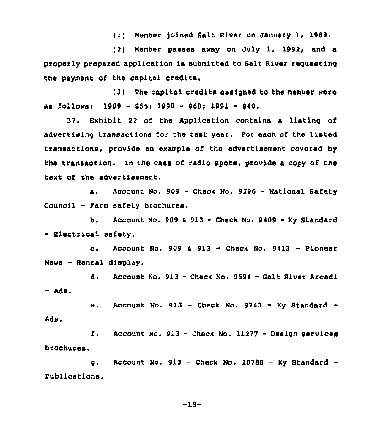(1) Nember )oined Salt River on January 1, 1989.

(2) Member passes away on July 1, 1992, and a properly prepared application is submitted to Salt River requesting the payment of the capital credits.

(3) The capital credits assigned to the member were as follows: 1989 - \$55; 1990 - \$60; 1991 - 840.

37. Exhibit <sup>22</sup> of the Application contains a listing of advertising transactions for the test year. For each of the listed transaotions, provide an example of the advertisement covered by the transaction. Zn the case of radio spots, provide a copy of the text of the advertisement.

a. Account No. 909 - Check No. 9296 - National Safety Counoil - Farm safety brochures.

b. Account No. 909  $\epsilon$  913 - Check No. 9409 - Ky Standard - Electrical safety.

c. Account No. 909  $\varepsilon$  913 - Check No. 9413 - Pioneer News - Rental display.

d. Account No. <sup>913</sup> - Check No. <sup>9594</sup> - Salt River Arcadi - Ads.

e. Account No.  $913$  - Check No.  $9743$  - Ky Standard -

f. Account No. <sup>913</sup> —Check No. <sup>11277</sup> - Design services brochures.

Ads.

g. Account No.  $913$  - Check No. 10788 - Ky Standard -Publications.

 $-18-$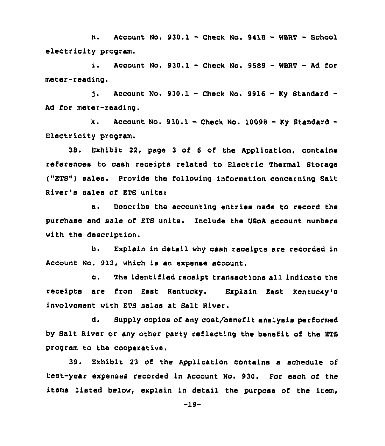h. Account No. 930.1 - Check No. <sup>9418</sup> - WERT — School electricity program.

i. Account No.  $930.1$  - Check No.  $9589$  - WBRT - Ad for meter-reading.

t. Account No. 930.1 - Check No. 9916 - Ky Standard -Ad for meter-reading.

k. Account No.  $930.1 -$  Check No. 10098 - Ky Standard -Electricity program.

38. Exhibit 22, page 3 of <sup>6</sup> of the Application, contains references to cash receipts related to Electric Thermal Btorage ("ETS") sales. Provide the following information concerning Salt River's sales of ETS units:

a. Describe the accounting entries made to record the purchase and sale of ETS units. Include the USoA account numbers with the description.

b. Explain in detail why cash receipts are recorded in Account No. 913, which is an expense account.

c, The identified receipt transactions all indicate the receipts are from East Kentucky. Explain East Kentucky's involvement with ETB sales at Salt River.

d. Supply copies of any cost/benefit analysis performed by Balt River or any other party reflecting the benefit of the ETB program to the cooperative.

39. Exhibit 23 of the Application contains a schedule of test-year expenses recorded in Account No. 930. For each of the items listed below, explain in detail the purpose of the item,

 $-19-$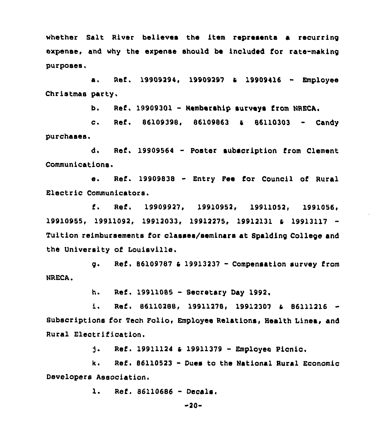whether Salt River believes the item represents a recurring expense, and why the expense should be included for rate-making purposes.

a, Ref . 19909294, <sup>19909297</sup> <sup>4</sup> <sup>19909416</sup> - Employee Christmas party.

b. Ref. <sup>19909301</sup> - membership surveys from NRECA.

c. Ref. 86109398, 86109863 & 86110303 - Candy purchases.

d. Ref. <sup>19909564</sup> - Poster subscription from Clement Communications.

e. Ref. 19909838 - Entry Fee for Council of Rural Electric Communicators.

f. Ref. 19909927, 19910952, 19911052, 1991056, 19911092, 19912033, 19912275, 19912131 & 19913117 Tuition reimbursements for classes/seminars at Bpalding College and the University of Louisville.

g. Ref. <sup>86109787</sup> <sup>4</sup> <sup>19913237</sup> - Compensation survey from NRECA.

h. Ref. 19911085 — Secretary Day 1992.

Ref. 86110288, 19911278, 19912307 & B6111216 - $1.$ Subscriptions for Tech Folio, Employee Relations, Health Lines, and Rural Electrification.

> $\mathbf{1}$ . Ref. <sup>19911124</sup> <sup>4</sup> <sup>19911379</sup> - Employee Picnic.

k. Ref. <sup>86110523</sup> - Dues to the National Rural Economic Developers Association.

l. Ref. <sup>86110686</sup> -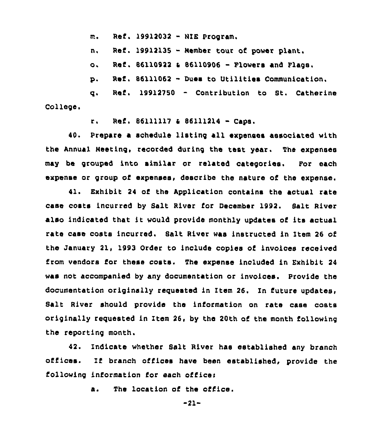m. Ref. <sup>19912032</sup> - HIE Program.

n. Ref. <sup>19912135</sup> - Nember tour of power plant.

o. Ref. <sup>86110922</sup> <sup>6</sup> <sup>86110906</sup> - Flowers and Flags.

p. Ref. <sup>86111062</sup> - Dues to Utilities Communication,

College. q. Ref. 19912750 — Contribution to St. Catherine

r. Ref. 86111117 & 86111214 - Caps.

40. Prepare a schedule listing all expenses associated with the Annual Meeting, recorded during the test year. The expenses may be grouped into similar or related categories. For each expense or group of expenses, describe the nature of the expense.

41. Exhibit 24 of the Application contains the actual rate case costs incurred by Salt River for December 1992. Balt River also indicated that it would provide monthly updates of its actual rate case costs incurred. Balt River was instructed in Item 26 of the January 21, 1993 Order to include copies of invoices received from vendors for these costs. The expense included in Exhibit <sup>24</sup> was not accompanied by any documentation or invoices. Provide the documentation originally requested in item 26. In future updates, Salt River should provide the information on rate case costs originally requested in Item 26, by the 20th of the month following the reporting month.

42. Indicate whether Salt River has established any branch offices. If branch offices have been established, provide the following information for each office:

a. The location of the office.

-21-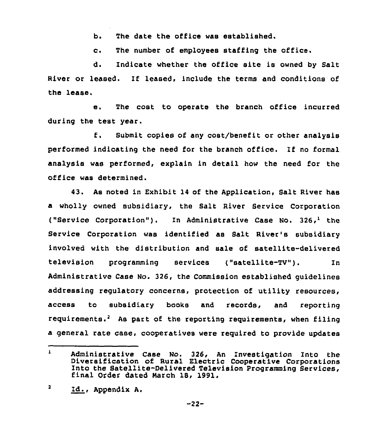b. The date the office was established.

c. The number of employees staffing the office.

d. Indicate whether the office site is owned by Salt River or leased. If leased, include the terms and conditions of the lease.

e. The cost to operate the branch office incurred during the test year.

f. Submit copies of any cost/benefit or other analysis performed indicating the need for the branch office. If no formal analysis was performed, explain in detail how the need for the office was determined.

43. As noted in Exhibit 14 of the Application, Salt River has a wholly owned subsidiary, the Salt River Service Corporation ("Service Corporation"). In Administrative Case No. 326,<sup>1</sup> the Service Corporation was identified as Balt River's subsidiary involved with the distribution and sale of satellite-delivered television programminq services ("satellite-TV"). In Administrative Case No. 326, the Commission established guidelines addressing regulatory concerns, protection of utility resources, access to subsidiary books and records. and reporting requirements. As part of the reporting requirements, when filing a general rate case, cooperatives were required to provide updates

 $\mathbf{1}$ Administrative Case No. 326, An Investigation Into the Diversification of Rural Electric Cooperative Corporations Into the Satellite-Delivered Television programming Services, final Order dated march 18, 1991.

 $\overline{\mathbf{2}}$ Id., Appendix A.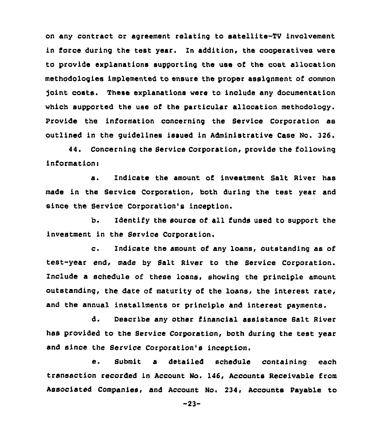on any contract or agreement relating to satellite-TV involvement in force during the test year. In addition, the cooperatives were to provide explanations supporting the use of the cost allocation methodologies implemented to ensure the proper assignment of common joint costs. These explanations were to include any documentation which supported the use of the particular allocation methodology. Provide the information concerning the Service Corporation as outlined in the guidelines issued in Administrative Case No. 326.

44. Concerning the Service Corporation, provide the following informationi

a. Indicate the amount of investment Salt River has made in the Service Corporation, both during the test year and since the Service Corporation's inception.

b. Identify the source of all funds used to support the investment in the Service Corporation.

c. Indicate the amount of any loans, outstanding as of test-year end, made by Balt River to the Bervice Corporation. Include a schedule of these loans, showing the principle amount outstanding, the date of maturity of the loans, the interest rate, and the annual installments or principle and interest payments.

d. Describe any other financial assistance Balt River has provided to the Service Corporation, both during the test year and since the Service Corporation's inception.

e. Submit <sup>a</sup> detailed schedule containing each transaction recorded in Account No. 146, Accounts Receivable from Associated Companies, and Account No. 234, Accounts Payable to

-23-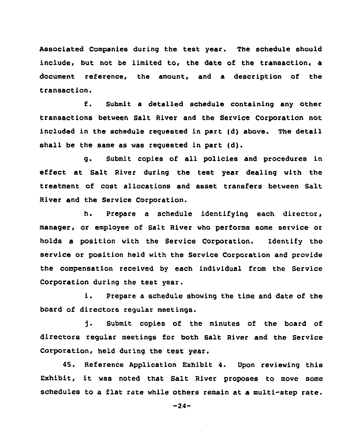Associated Companies during the test year. The schedule should include, but not be limited to, the date of the transaction, a document reference, the amount, and a description of the transaction.

f. Submit <sup>a</sup> detailed schedule containing any other transactions between Salt River and the Service Corporation not included in the schedule requested in part (d) above. The detail shall be the same as was requested in part (d).

g. Submit copies of all policies and procedures in effect at Salt River during the test year dealing with the treatment of cost allocations and asset transfers between Salt River and the Service Corporation.

h. Prepare a schedule identifying each director, manager, or employee of Salt River who performs some service or holds a position with the Service Corporation. Identify the service or position held with the Service Corporation and provide the compensation received by each individual from the Service Corporation during the test year.

i. Prepare <sup>a</sup> schedule showing the time and date of the board of directors regular meetings.

i. Submit copies of the minutes of the board of directors regular meetings for both Balt River and the Service Corporation, held during the test year.

45. Reference Application Exhibit 4. Upon reviewing this Exhibit, it was noted that Salt River proposes to move some schedules to a flat rate while others remain at a multi-step rate.

-24-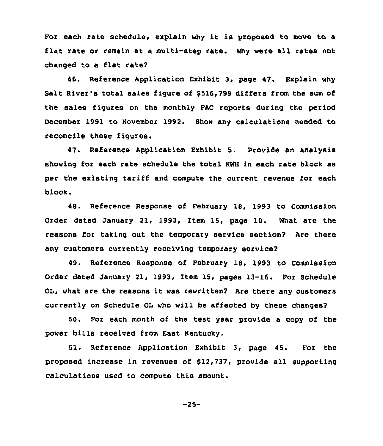For each rate schedule, explain why it is proposed to move to a flat rate or remain at a multi-step rate. Why were all rates not changed to a flat rate?

46. Reference Application Exhibit 3, page 47. Explain why Salt River's total sales figure of 8516,799 differs from the sum of the sales figures on the monthly FAC reports during the period December 1991 to November 1992. Show any calculations needed to reconcile these figures.

47. Reference Application Exhibit 5. Provide an analysis showing for each rate schedule the total KWH in each rate block as per the existing tariff and compute the current revenue for each block.

48. Reference Response of February 18, 1993 to Commission Order dated January 21, 1993, Item 15, page 10. What are the reasons for taking out the temporary service section? Are there any customers currently receiving temporary service?

49. Reference Response of February 18, 1993 to Commission Order dated January 21, 1993, Item 15, pages 13-16. For Schedule OL, what are the reasons it was rewritten? Are there any customers currently on Schedule OL who will be affected by these changes?

50. For each month of the test year provide a copy of the power bills received from East Kentucky.

51. Reference Application Exhibit 3, page 45. For the proposed increase in revenues of \$12,737, provide all supporting calculations used to compute this amount.

-25-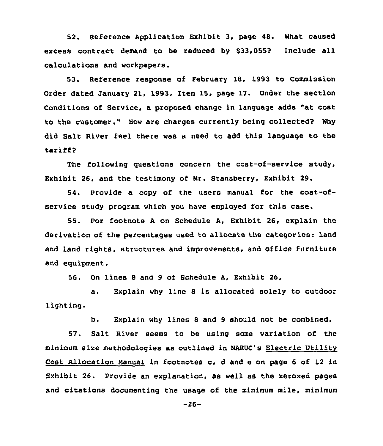52. Reference Application Exhibit 3, page 48. What caused excess contract demand to be reduced by \$33,055? Include all calculations and workpapers.

53. Reference response of February 18, 1993 to Commission Order dated January 21, 1993, Item 15, page 17. Under the section Conditions of Service, <sup>a</sup> proposed change in language adds "at cost to the customer." How are charges currently being collected? Why did Salt River feel there was a need to add this language to the tariff?

The following questions concern the coat-of-service study, Exhibit 26, and the testimony of Nr. Stansberry, Exhibit 29.

54. Provide a copy of the users manual for the cost-ofservice study program which you have employed for this case.

55. For footnote <sup>A</sup> on Schedule A, Exhibit 26, explain the derivation of the percentages used to allocate the categories: land and land rights, structures and improvements, and office furniture and equipment.

56. On lines 8 and 9 of Schedule A, Exhibit 26,

a. Explain why line <sup>8</sup> is allocated solely to outdoor lighting.

b. Explain why lines 8 and <sup>9</sup> should not be combined.

57. Salt River seems to be using some variation of the minimum sixe methodologies as outlined in NARUC's Electric Utility Cost Allocation manual in footnotes c, <sup>d</sup> and e on page <sup>6</sup> of 12 in Exhibit 26. Provide an explanation, as well as the xeroxed pages and citations documenting the usage of the minimum mile, minimum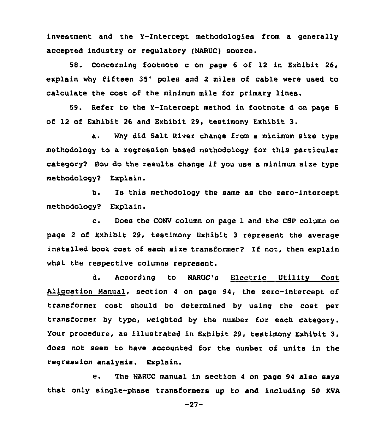investment and the Y-Intercept methodologies from a generally accepted industry or regulatory (NARUC) source.

58. Concerning footnote c on page 6 of 12 in Exhibit 26, explain why fifteen 35' poles and 2 miles of cable were used to calculate the cost of the minimum mile for primary lines.

59. Refer to the Y-Intercept method in footnote <sup>d</sup> on page 6 of 12 of Exhibit 26 and Exhibit 29, testimony Exhibit 3.

a. Why did Salt River change from a minimum size type methodology to a regression based methodology for this particular category2 Bow do the results change if you use a minimum size type methodology2 Explain.

b. Is this methodology the same as the zero-intercept methodology? Explain.

c. Does the CONV column on page <sup>1</sup> and the CSP column on page <sup>2</sup> of Exhibit 29, testimony Exhibit 3 represent the average installed book cost of each size transformer? If not, then explain what the respective columns represent.

d. According to NARUC's Electric Utility Cost Allocation Manual, section <sup>4</sup> on page 94, the zero-intercept of transformer cost should be determined by using the cost per transformer by type, weighted by the number for each category. Your procedure, as illustrated in Exhibit 29, testimony Exhibit 3, does not seem to have accounted for the number of units in the regression analysis. Explain.

e. The NARUC manual in section <sup>4</sup> on page <sup>94</sup> also says that only single-phase transformers up to and including 50 KVA

-27-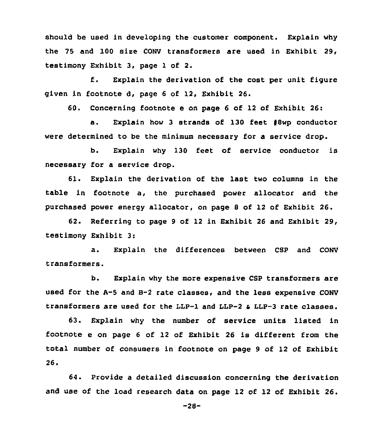should be used in developing the customer component. Explain why the 75 and 100 size CONV transformers are used in Exhibit 29, testimony Exhibit 3, page 1 of 2.

f. Explain the derivation of the cost per unit figure given in footnote d, page 6 of 12, Exhibit 26.

60. Concerning footnote e on page 6 of 12 of Exhibit 26:

a. Explain how <sup>3</sup> strands of 130 feet 48wp conductor were determined to be the minimum necessary for a service drop.

b. Explain why 130 feet of service conductor is necessary for a service drop.

61. Explain the derivation of the last two columns in the table in footnote a, the purchased power allocator and the purchased power energy allocator, on page 8 of 12 of Exhibit 26.

62. Referring to page <sup>9</sup> of 12 in Exhibit 26 and Exhibit 29, testimony Exhibit 3:

a. Explain the differences between CSP and CONV transformers.

b. Explain why the more expensive CSP transformers are used for the A-5 and 8-2 rate classes, and the less expensive CONV transformers are used for the LLP-1 and LLP-2  $\epsilon$  LLP-3 rate classes.

63. Explain why the number of service units listed in footnote e on page <sup>6</sup> of <sup>12</sup> of Exhibit 26 is different from the total number of consumers in footnote on page 9 of 12 of Exhibit  $26.$ 

64. Provide a detailed discussion concerning the derivation and use of the load research data on page 12 of 12 of Exhibit 26.

-28-